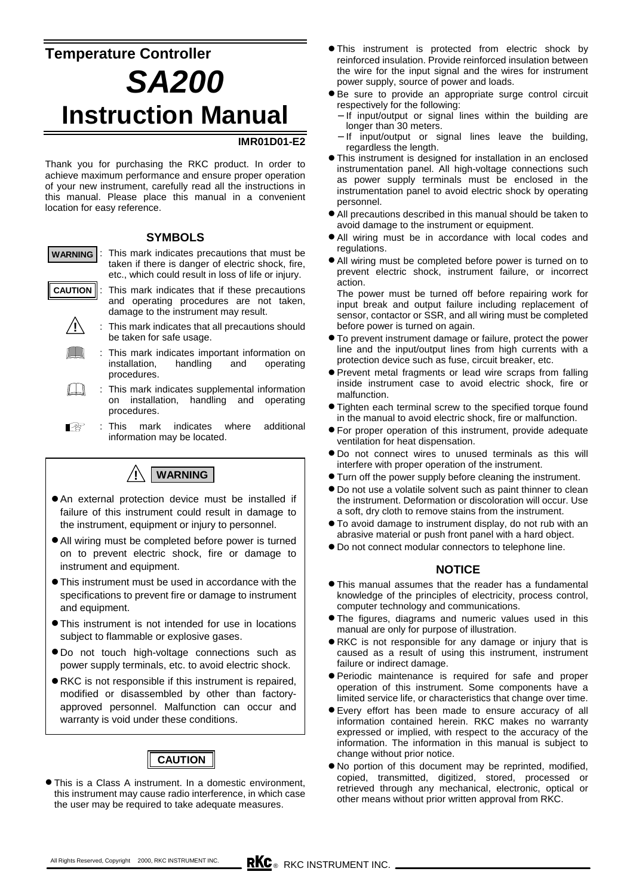# **Temperature Controller** *SA200* **Instruction Manual**

### **IMR01D01-E2**

Thank you for purchasing the RKC product. In order to achieve maximum performance and ensure proper operation of your new instrument, carefully read all the instructions in this manual. Please place this manual in a convenient location for easy reference.

#### **SYMBOLS**

- : This mark indicates precautions that must be taken if there is danger of electric shock, fire, etc., which could result in loss of life or injury. **WARNING**
	- : This mark indicates that if these precautions and operating procedures are not taken, damage to the instrument may result. **CAUTION**
		- : This mark indicates that all precautions should be taken for safe usage. **!**
			- : This mark indicates important information on installation, handling and operating procedures.
		- $\Box$ : This mark indicates supplemental information on installation, handling and operating procedures.
		- : This mark indicates where additional Ⅰ₽ information may be located.



- $\bullet$  An external protection device must be installed if failure of this instrument could result in damage to the instrument, equipment or injury to personnel.
- $\bullet$  All wiring must be completed before power is turned on to prevent electric shock, fire or damage to instrument and equipment.
- !"This instrument must be used in accordance with the specifications to prevent fire or damage to instrument and equipment.
- This instrument is not intended for use in locations subject to flammable or explosive gases.
- $\bullet$  Do not touch high-voltage connections such as power supply terminals, etc. to avoid electric shock.
- !"RKC is not responsible if this instrument is repaired, modified or disassembled by other than factoryapproved personnel. Malfunction can occur and warranty is void under these conditions.



• This is a Class A instrument. In a domestic environment, this instrument may cause radio interference, in which case the user may be required to take adequate measures.

- !"This instrument is protected from electric shock by reinforced insulation. Provide reinforced insulation between the wire for the input signal and the wires for instrument power supply, source of power and loads.
- $\bullet$  Be sure to provide an appropriate surge control circuit respectively for the following:
	- − If input/output or signal lines within the building are longer than 30 meters.
	- − If input/output or signal lines leave the building, regardless the length.
- **.** This instrument is designed for installation in an enclosed instrumentation panel. All high-voltage connections such as power supply terminals must be enclosed in the instrumentation panel to avoid electric shock by operating personnel.
- $\bullet$  All precautions described in this manual should be taken to avoid damage to the instrument or equipment.
- $\bullet$  All wiring must be in accordance with local codes and regulations.
- All wiring must be completed before power is turned on to prevent electric shock, instrument failure, or incorrect action.
- The power must be turned off before repairing work for input break and output failure including replacement of sensor, contactor or SSR, and all wiring must be completed before power is turned on again.
- !"To prevent instrument damage or failure, protect the power line and the input/output lines from high currents with a protection device such as fuse, circuit breaker, etc.
- Prevent metal fragments or lead wire scraps from falling inside instrument case to avoid electric shock, fire or malfunction.
- Tighten each terminal screw to the specified torque found in the manual to avoid electric shock, fire or malfunction.
- For proper operation of this instrument, provide adequate ventilation for heat dispensation.
- $\bullet$  Do not connect wires to unused terminals as this will interfere with proper operation of the instrument.
- **Turn off the power supply before cleaning the instrument.**
- $\bullet$  Do not use a volatile solvent such as paint thinner to clean the instrument. Deformation or discoloration will occur. Use a soft, dry cloth to remove stains from the instrument.
- !"To avoid damage to instrument display, do not rub with an abrasive material or push front panel with a hard object.
- $\bullet$  Do not connect modular connectors to telephone line.

#### **NOTICE**

- !"This manual assumes that the reader has a fundamental knowledge of the principles of electricity, process control, computer technology and communications.
- **The figures, diagrams and numeric values used in this** manual are only for purpose of illustration.
- !"RKC is not responsible for any damage or injury that is caused as a result of using this instrument, instrument failure or indirect damage.
- !"Periodic maintenance is required for safe and proper operation of this instrument. Some components have a limited service life, or characteristics that change over time.
- $\bullet$  Every effort has been made to ensure accuracy of all information contained herein. RKC makes no warranty expressed or implied, with respect to the accuracy of the information. The information in this manual is subject to change without prior notice.
- !"No portion of this document may be reprinted, modified, copied, transmitted, digitized, stored, processed or retrieved through any mechanical, electronic, optical or other means without prior written approval from RKC.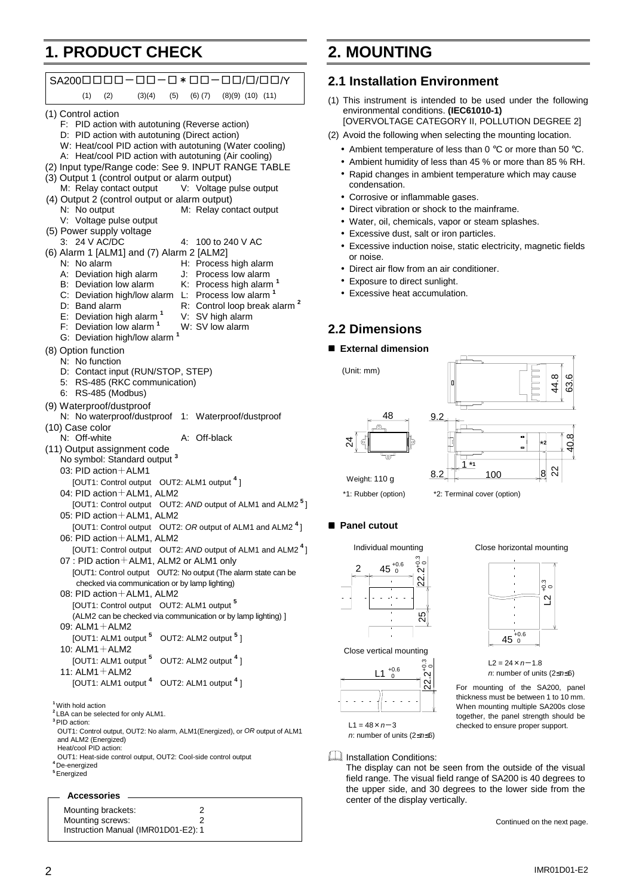## **1. PRODUCT CHECK**

| (1)<br>(2)<br>(3)(4)<br>(5)<br>$(6)$ $(7)$<br>$(8)(9)$ $(10)$ $(11)$<br>(1) Control action<br>F: PID action with autotuning (Reverse action)<br>D: PID action with autotuning (Direct action)<br>W: Heat/cool PID action with autotuning (Water cooling)<br>A: Heat/cool PID action with autotuning (Air cooling)<br>(2) Input type/Range code: See 9. INPUT RANGE TABLE<br>(3) Output 1 (control output or alarm output)<br>V: Voltage pulse output<br>M: Relay contact output<br>(4) Output 2 (control output or alarm output) |
|----------------------------------------------------------------------------------------------------------------------------------------------------------------------------------------------------------------------------------------------------------------------------------------------------------------------------------------------------------------------------------------------------------------------------------------------------------------------------------------------------------------------------------|
|                                                                                                                                                                                                                                                                                                                                                                                                                                                                                                                                  |
|                                                                                                                                                                                                                                                                                                                                                                                                                                                                                                                                  |
|                                                                                                                                                                                                                                                                                                                                                                                                                                                                                                                                  |
| N: No output<br>M: Relay contact output<br>V: Voltage pulse output                                                                                                                                                                                                                                                                                                                                                                                                                                                               |
| (5) Power supply voltage<br>3: 24 V AC/DC<br>4:<br>100 to 240 V AC                                                                                                                                                                                                                                                                                                                                                                                                                                                               |
| (6) Alarm 1 [ALM1] and (7) Alarm 2 [ALM2]<br>N: No alarm<br>H: Process high alarm<br>J: Process low alarm<br>A: Deviation high alarm<br>K: Process high alarm <sup>1</sup><br>B: Deviation low alarm<br>L: Process low alarm <sup>1</sup><br>C: Deviation high/low alarm<br>R: Control loop break alarm <sup>2</sup><br>D: Band alarm<br>E: Deviation high alarm <sup>1</sup><br>V: SV high alarm<br>F: Deviation low alarm <sup>1</sup><br>W: SV low alarm<br>G: Deviation high/low alarm                                       |
| (8) Option function<br>N: No function<br>D: Contact input (RUN/STOP, STEP)<br>RS-485 (RKC communication)<br>5: I<br>6: RS-485 (Modbus)                                                                                                                                                                                                                                                                                                                                                                                           |
| (9) Waterproof/dustproof<br>N: No waterproof/dustproof<br>1: Waterproof/dustproof<br>(10) Case color                                                                                                                                                                                                                                                                                                                                                                                                                             |
| N: Off-white<br>A: Off-black<br>(11) Output assignment code                                                                                                                                                                                                                                                                                                                                                                                                                                                                      |
| No symbol: Standard output <sup>3</sup><br>03: PID action $+$ ALM1                                                                                                                                                                                                                                                                                                                                                                                                                                                               |
| [OUT1: Control output OUT2: ALM1 output 4]<br>04: PID action + ALM1, ALM2                                                                                                                                                                                                                                                                                                                                                                                                                                                        |
| [OUT1: Control output OUT2: AND output of ALM1 and ALM2 <sup>5</sup> ]<br>05: PID action + ALM1, ALM2                                                                                                                                                                                                                                                                                                                                                                                                                            |
| [OUT1: Control output OUT2: OR output of ALM1 and ALM2 <sup>4</sup> ]<br>06: PID action + ALM1, ALM2                                                                                                                                                                                                                                                                                                                                                                                                                             |
| [OUT1: Control output OUT2: AND output of ALM1 and ALM2 <sup>4</sup> ]<br>07 : PID action + ALM1, ALM2 or ALM1 only                                                                                                                                                                                                                                                                                                                                                                                                              |
| [OUT1: Control output OUT2: No output (The alarm state can be<br>checked via communication or by lamp lighting)                                                                                                                                                                                                                                                                                                                                                                                                                  |
| 08: PID action + ALM1, ALM2<br>[OUT1: Control output OUT2: ALM1 output 5                                                                                                                                                                                                                                                                                                                                                                                                                                                         |
| (ALM2 can be checked via communication or by lamp lighting) ]<br>09: ALM1 + ALM2<br>[OUT1: ALM1 output 5<br>OUT2: ALM2 output <sup>5</sup> 1                                                                                                                                                                                                                                                                                                                                                                                     |
| 10: $ALM1 + ALM2$<br>[OUT1: ALM1 output <sup>5</sup> OUT2: ALM2 output <sup>4</sup> ]                                                                                                                                                                                                                                                                                                                                                                                                                                            |
| 11: $ALM1 + ALM2$<br>[OUT1: ALM1 output 4 OUT2: ALM1 output 4]                                                                                                                                                                                                                                                                                                                                                                                                                                                                   |
| <sup>1</sup> With hold action                                                                                                                                                                                                                                                                                                                                                                                                                                                                                                    |
| <sup>2</sup> LBA can be selected for only ALM1.<br><sup>3</sup> PID action:<br>OUT1: Control output, OUT2: No alarm, ALM1(Energized), or OR output of ALM1<br>and ALM2 (Energized)<br>Heat/cool PID action:                                                                                                                                                                                                                                                                                                                      |
| OUT1: Heat-side control output, OUT2: Cool-side control output<br><sup>4</sup> De-energized<br><sup>5</sup> Energized                                                                                                                                                                                                                                                                                                                                                                                                            |

## **2.1 Installation Environment**

**2. MOUNTING**

- (1) This instrument is intended to be used under the following environmental conditions. **(IEC61010-1)** [OVERVOLTAGE CATEGORY II, POLLUTION DEGREE 2]
- (2) Avoid the following when selecting the mounting location.
	- Ambient temperature of less than 0 °C or more than 50 °C.
	- Ambient humidity of less than 45 % or more than 85 % RH.
	- Rapid changes in ambient temperature which may cause condensation.
	- Corrosive or inflammable gases.
	- Direct vibration or shock to the mainframe.
	- Water, oil, chemicals, vapor or steam splashes.
	- Excessive dust, salt or iron particles.
	- Excessive induction noise, static electricity, magnetic fields or noise.
	- Direct air flow from an air conditioner.
	- Exposure to direct sunlight.
	- Excessive heat accumulation.

### **2.2 Dimensions**

#### $\blacksquare$  External dimension

(Unit: mm)





\*1: Rubber (option) \*2: Terminal cover (option) Weight: 110 g



### $\blacksquare$  Panel cutout

Individual mounting



Close vertical mounting



 $L1 = 48 \times n - 3$ *n*: number of units (2≤*n*≤6)

### **Installation Conditions:**

The display can not be seen from the outside of the visual field range. The visual field range of SA200 is 40 degrees to the upper side, and 30 degrees to the lower side from the center of the display vertically.

Continued on the next page.

Mounting brackets: 2 Mounting screws: 2 Instruction Manual (IMR01D01-E2): 1



 $\mathbf{a}$ 

າ<br>ິ<br>+ 0

thickness must be between 1 to 10 mm. When mounting multiple SA200s close together, the panel strength should be checked to ensure proper support.

L2 =  $24 \times n - 1.8$ <br>*n*: number of units ( $2 \le n \le 6$ )

 $45^{+0.6}_{-0}$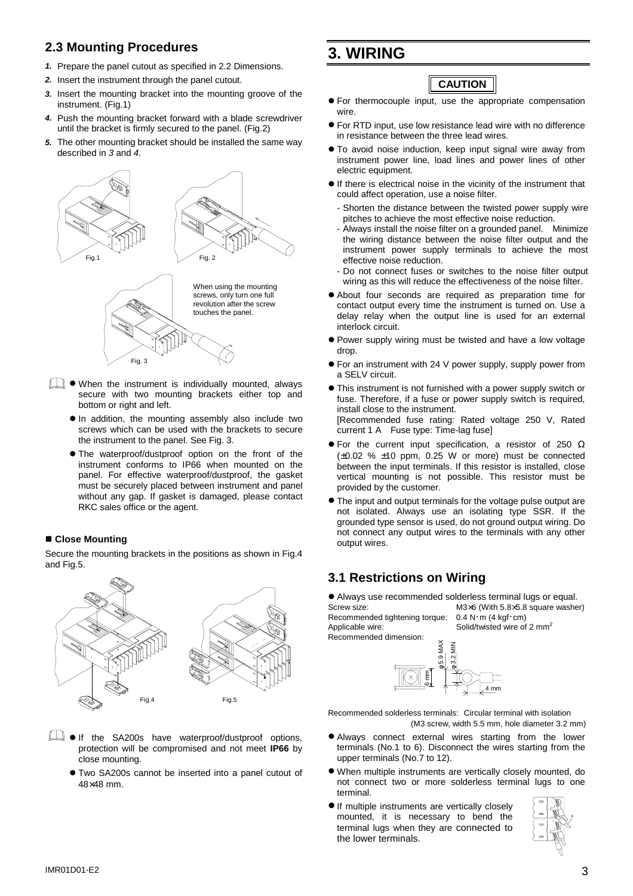### **2.3 Mounting Procedures**

- *1.* Prepare the panel cutout as specified in 2.2 Dimensions.
- *2.* Insert the instrument through the panel cutout.
- *3.* Insert the mounting bracket into the mounting groove of the instrument. (Fig.1)
- *4.* Push the mounting bracket forward with a blade screwdriver until the bracket is firmly secured to the panel. (Fig.2)
- *5.* The other mounting bracket should be installed the same way described in *3* and *4*.



- **I When the instrument is individually mounted, always** secure with two mounting brackets either top and bottom or right and left.
	- $\bullet$  In addition, the mounting assembly also include two screws which can be used with the brackets to secure the instrument to the panel. See Fig. 3.
	- $\bullet$  The waterproof/dustproof option on the front of the instrument conforms to IP66 when mounted on the panel. For effective waterproof/dustproof, the gasket must be securely placed between instrument and panel without any gap. If gasket is damaged, please contact RKC sales office or the agent.

#### ■ Close Mounting

Secure the mounting brackets in the positions as shown in Fig.4 and Fig.5.



- **If the SA200s have waterproof/dustproof options,** protection will be compromised and not meet **IP66** by close mounting.
	- $\bullet$  Two SA200s cannot be inserted into a panel cutout of 48×48 mm.

## **3. WIRING**

## **CAUTION**

- !"For thermocouple input, use the appropriate compensation wire.
- **•** For RTD input, use low resistance lead wire with no difference in resistance between the three lead wires.
- To avoid noise induction, keep input signal wire away from instrument power line, load lines and power lines of other electric equipment.
- $\bullet$  If there is electrical noise in the vicinity of the instrument that could affect operation, use a noise filter.
	- Shorten the distance between the twisted power supply wire pitches to achieve the most effective noise reduction.
	- Always install the noise filter on a grounded panel. Minimize the wiring distance between the noise filter output and the instrument power supply terminals to achieve the most effective noise reduction.
	- Do not connect fuses or switches to the noise filter output wiring as this will reduce the effectiveness of the noise filter.
- !"About four seconds are required as preparation time for contact output every time the instrument is turned on. Use a delay relay when the output line is used for an external interlock circuit.
- Power supply wiring must be twisted and have a low voltage drop.
- **•** For an instrument with 24 V power supply, supply power from a SELV circuit.
- This instrument is not furnished with a power supply switch or fuse. Therefore, if a fuse or power supply switch is required, install close to the instrument. [Recommended fuse rating: Rated voltage 250 V, Rated current 1 A Fuse type: Time-lag fuse]
- $\bullet$  For the current input specification, a resistor of 250  $\Omega$  $(\pm 0.02 \% \pm 10 \text{ ppm}, 0.25 \text{ W} \text{ or more})$  must be connected between the input terminals. If this resistor is installed, close vertical mounting is not possible. This resistor must be provided by the customer.
- The input and output terminals for the voltage pulse output are not isolated. Always use an isolating type SSR. If the grounded type sensor is used, do not ground output wiring. Do not connect any output wires to the terminals with any other output wires.

## **3.1 Restrictions on Wiring**

!"Always use recommended solderless terminal lugs or equal. Screw size: M3×6 (With 5.8×5.8 square washer) Recommended tightening torque: 0.4 N・m (4 kgf・cm) Applicable wire:  $\sim$  Solid/twisted wire of 2 mm<sup>2</sup> Recommended dimension:



Recommended solderless terminals: Circular terminal with isolation (M3 screw, width 5.5 mm, hole diameter 3.2 mm)

- $\bullet$  Always connect external wires starting from the lower terminals (No.1 to 6). Disconnect the wires starting from the upper terminals (No.7 to 12).
- !"When multiple instruments are vertically closely mounted, do not connect two or more solderless terminal lugs to one terminal.
- **.** If multiple instruments are vertically closely mounted, it is necessary to bend the terminal lugs when they are connected to the lower terminals.

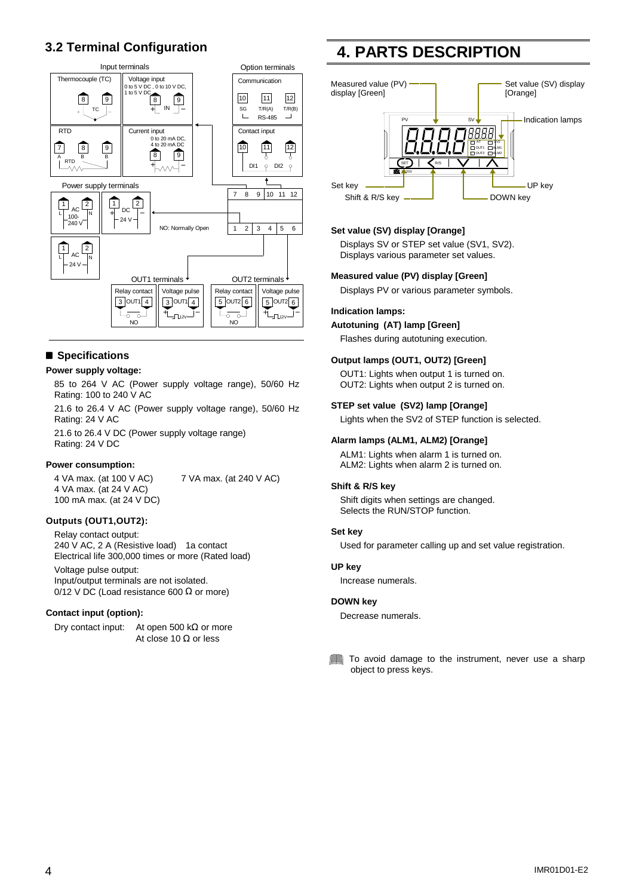## **3.2 Terminal Configuration**



### ■ Specifications

#### **Power supply voltage:**

85 to 264 V AC (Power supply voltage range), 50/60 Hz Rating: 100 to 240 V AC

21.6 to 26.4 V AC (Power supply voltage range), 50/60 Hz Rating: 24 V AC

21.6 to 26.4 V DC (Power supply voltage range) Rating: 24 V DC

#### **Power consumption:**

4 VA max. (at 100 V AC) 7 VA max. (at 240 V AC) 4 VA max. (at 24 V AC) 100 mA max. (at 24 V DC)

### **Outputs (OUT1,OUT2):**

Relay contact output: 240 V AC, 2 A (Resistive load) 1a contact Electrical life 300,000 times or more (Rated load)

Voltage pulse output: Input/output terminals are not isolated.  $0/12$  V DC (Load resistance 600  $\Omega$  or more)

#### **Contact input (option):**

Dry contact input: At open 500 kΩ or more At close 10 Ω or less

## **4. PARTS DESCRIPTION**



#### **Set value (SV) display [Orange]**

Displays SV or STEP set value (SV1, SV2). Displays various parameter set values.

#### **Measured value (PV) display [Green]**

Displays PV or various parameter symbols.

#### **Indication lamps:**

#### **Autotuning (AT) lamp [Green]**

Flashes during autotuning execution.

#### **Output lamps (OUT1, OUT2) [Green]**

OUT1: Lights when output 1 is turned on. OUT2: Lights when output 2 is turned on.

#### **STEP set value (SV2) lamp [Orange]**

Lights when the SV2 of STEP function is selected.

#### **Alarm lamps (ALM1, ALM2) [Orange]**

ALM1: Lights when alarm 1 is turned on. ALM2: Lights when alarm 2 is turned on.

#### **Shift & R/S key**

Shift digits when settings are changed. Selects the RUN/STOP function.

#### **Set key**

Used for parameter calling up and set value registration.

#### **UP key**

Increase numerals.

#### **DOWN key**

Decrease numerals.

#### To avoid damage to the instrument, never use a sharp object to press keys.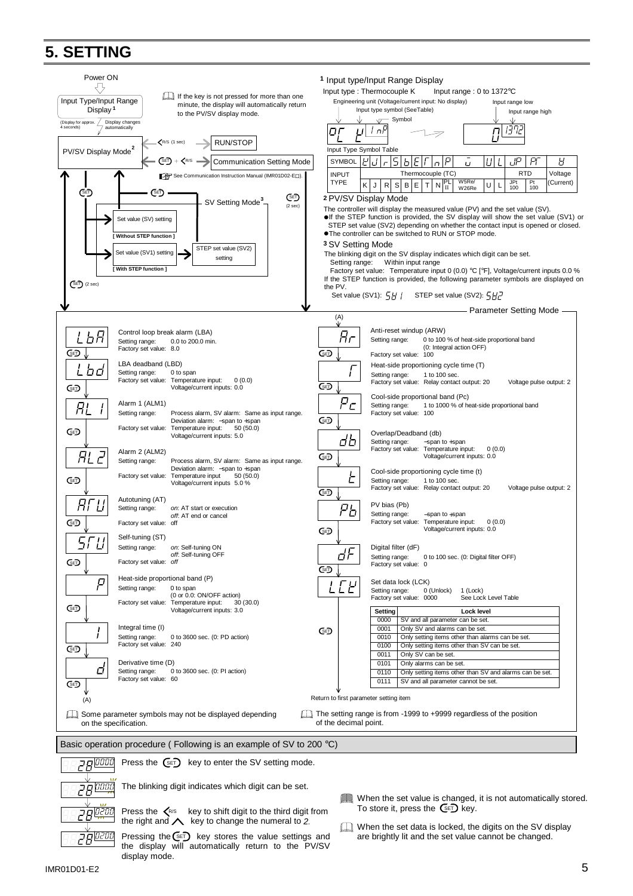## **5. SETTING**

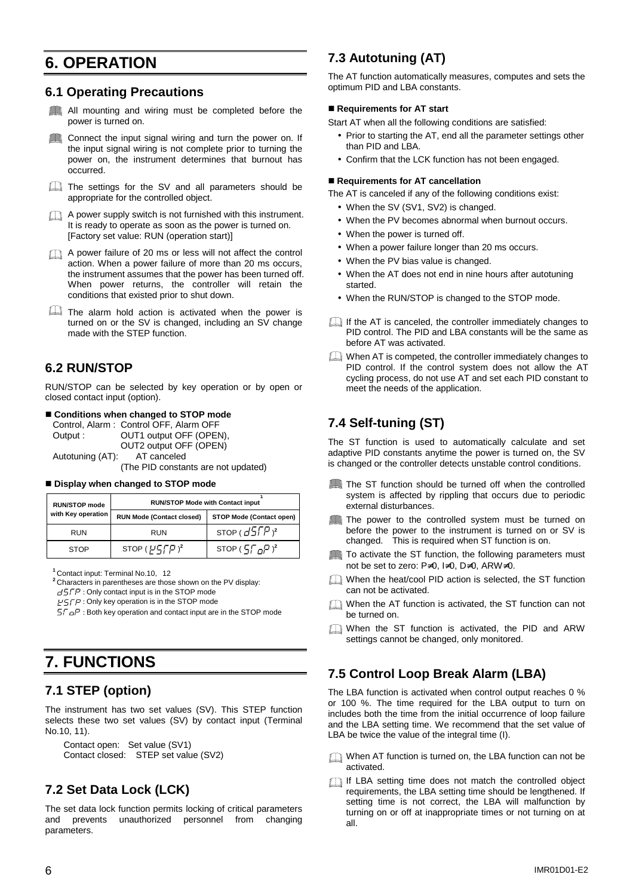## **6. OPERATION**

### **6.1 Operating Precautions**

All mounting and wiring must be completed before the power is turned on.

Connect the input signal wiring and turn the power on. If  $\sqrt{1}$ the input signal wiring is not complete prior to turning the power on, the instrument determines that burnout has occurred.

The settings for the SV and all parameters should be appropriate for the controlled object.

A power supply switch is not furnished with this instrument. It is ready to operate as soon as the power is turned on. [Factory set value: RUN (operation start)]

A power failure of 20 ms or less will not affect the control action. When a power failure of more than 20 ms occurs, the instrument assumes that the power has been turned off. When power returns, the controller will retain the conditions that existed prior to shut down.

The alarm hold action is activated when the power is turned on or the SV is changed, including an SV change made with the STEP function.

### **6.2 RUN/STOP**

RUN/STOP can be selected by key operation or by open or closed contact input (option).

■ **Conditions when changed to STOP mode** 

Control, Alarm : Control OFF, Alarm OFF Output : **OUT1** output OFF (OPEN), OUT2 output OFF (OPEN) Autotuning (AT): AT canceled

(The PID constants are not updated)

#### **E** Display when changed to STOP mode

| <b>RUN/STOP mode</b> | <b>RUN/STOP Mode with Contact input</b> |                             |  |
|----------------------|-----------------------------------------|-----------------------------|--|
| with Key operation   | <b>RUN Mode (Contact closed)</b>        | STOP Mode (Contact open)    |  |
| <b>RUN</b>           | <b>RUN</b>                              | STOP $(d5FP)^2$             |  |
| <b>STOP</b>          | STOP $(F\sqrt{F})^2$                    | STOP $(5.6.7)$ <sup>2</sup> |  |

<sup>1</sup> Contact input: Terminal No.10, 12

**<sup>2</sup>**Characters in parentheses are those shown on the PV display:

 $\angle$  GTP : Only contact input is in the STOP mode

 $E^2 = E^2$ : Only key operation is in the STOP mode

 $5f\Box P$ : Both key operation and contact input are in the STOP mode

## **7. FUNCTIONS**

### **7.1 STEP (option)**

The instrument has two set values (SV). This STEP function selects these two set values (SV) by contact input (Terminal No.10, 11).

Contact open: Set value (SV1)

```
Contact closed: STEP set value (SV2)
```
## **7.2 Set Data Lock (LCK)**

The set data lock function permits locking of critical parameters and prevents unauthorized personnel from changing parameters.

### **7.3 Autotuning (AT)**

The AT function automatically measures, computes and sets the optimum PID and LBA constants.

#### ■ Requirements for AT start

Start AT when all the following conditions are satisfied:

- Prior to starting the AT, end all the parameter settings other than PID and LBA.
- Confirm that the LCK function has not been engaged.

#### ■ Requirements for AT cancellation

The AT is canceled if any of the following conditions exist:

- When the SV (SV1, SV2) is changed.
- When the PV becomes abnormal when burnout occurs.
- When the power is turned off.
- When a power failure longer than 20 ms occurs.
- When the PV bias value is changed.
- When the AT does not end in nine hours after autotuning started.
- When the RUN/STOP is changed to the STOP mode.
- If the AT is canceled, the controller immediately changes to PID control. The PID and LBA constants will be the same as before AT was activated.
- When AT is competed, the controller immediately changes to PID control. If the control system does not allow the AT cycling process, do not use AT and set each PID constant to meet the needs of the application.

### **7.4 Self-tuning (ST)**

The ST function is used to automatically calculate and set adaptive PID constants anytime the power is turned on, the SV is changed or the controller detects unstable control conditions.

- The ST function should be turned off when the controlled system is affected by rippling that occurs due to periodic external disturbances.
- The power to the controlled system must be turned on before the power to the instrument is turned on or SV is changed. This is required when ST function is on.
- To activate the ST function, the following parameters must not be set to zero: P≠0, I≠0, D≠0, ARW≠0.
- When the heat/cool PID action is selected, the ST function can not be activated.
- When the AT function is activated, the ST function can not be turned on.
- When the ST function is activated, the PID and ARW settings cannot be changed, only monitored.

### **7.5 Control Loop Break Alarm (LBA)**

The LBA function is activated when control output reaches 0 % or 100 %. The time required for the LBA output to turn on includes both the time from the initial occurrence of loop failure and the LBA setting time. We recommend that the set value of LBA be twice the value of the integral time (I).

- When AT function is turned on, the LBA function can not be activated.
- If LBA setting time does not match the controlled object requirements, the LBA setting time should be lengthened. If setting time is not correct, the LBA will malfunction by turning on or off at inappropriate times or not turning on at all.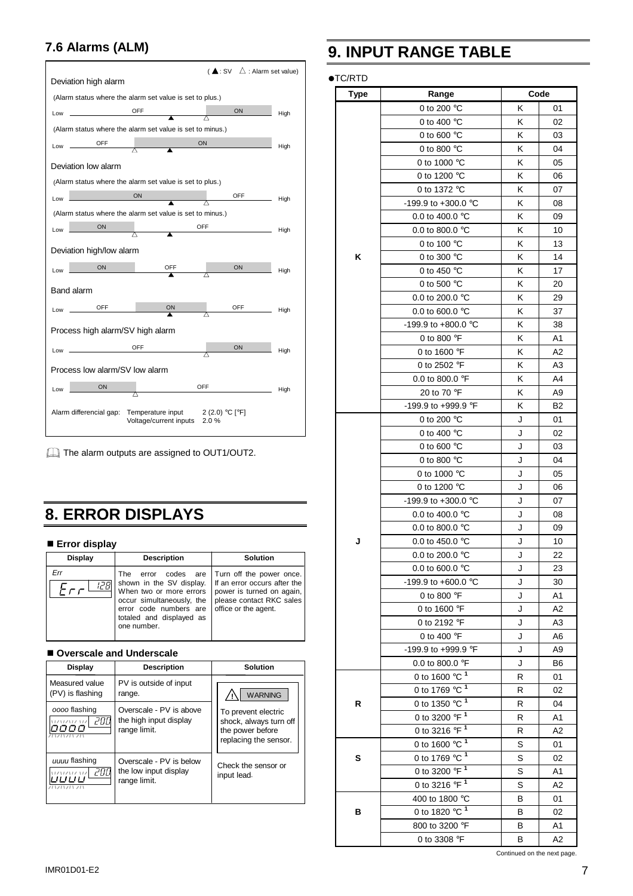## **7.6 Alarms (ALM)**



The alarm outputs are assigned to OUT1/OUT2.

## **8. ERROR DISPLAYS**

■ **Error display** 

| <b>Display</b> | <b>Description</b>                                                                                                                                                                 | <b>Solution</b>                                                                                                                           |  |
|----------------|------------------------------------------------------------------------------------------------------------------------------------------------------------------------------------|-------------------------------------------------------------------------------------------------------------------------------------------|--|
| 12 FI          | codes are<br>The<br>error<br>shown in the SV display.<br>When two or more errors<br>occur simultaneously, the<br>error code numbers are<br>totaled and displayed as<br>one number. | Turn off the power once.<br>If an error occurs after the<br>power is turned on again,<br>please contact RKC sales<br>office or the agent. |  |

#### ■ Overscale and Underscale

| <b>Display</b>                               | <b>Description</b>                                                | Solution                                                                                   |  |
|----------------------------------------------|-------------------------------------------------------------------|--------------------------------------------------------------------------------------------|--|
| Measured value<br>(PV) is flashing           | PV is outside of input<br>range.                                  | <b>WARNING</b>                                                                             |  |
| oooo flashing<br>200<br><b>VIZVIZVIZ VIZ</b> | Overscale - PV is above<br>the high input display<br>range limit. | To prevent electric<br>shock, always turn off<br>the power before<br>replacing the sensor. |  |
| uuuu flashing<br>гпп<br>17117111             | Overscale - PV is below<br>the low input display<br>range limit.  | Check the sensor or<br>input lead.                                                         |  |

## **9. INPUT RANGE TABLE**

### ●TC/RTD

| <b>97111</b><br><b>Type</b> | Range                                    |   | Code           |
|-----------------------------|------------------------------------------|---|----------------|
|                             | 0 to 200 °C                              | Κ | 01             |
|                             | 0 to 400 °C                              | κ | 02             |
|                             | 0 to 600 $\degree$ C                     | κ | 03             |
|                             | 0 to 800 °C                              | Κ | 04             |
|                             | 0 to 1000 °C                             | K | 05             |
|                             | 0 to 1200 °C                             | Κ | 06             |
|                             | 0 to 1372 °C                             | κ | 07             |
|                             | -199.9 to +300.0 °C                      | Κ | 08             |
|                             | 0.0 to 400.0 °C                          | Κ | 09             |
|                             | 0.0 to 800.0 °C                          | Κ | 10             |
|                             | 0 to 100 °C                              | Κ | 13             |
| κ                           | 0 to 300 °C                              | Κ | 14             |
|                             | 0 to 450 °C                              | Κ | 17             |
|                             | 0 to 500 °C                              | Κ | 20             |
|                             | 0.0 to 200.0 °C                          | κ | 29             |
|                             | 0.0 to 600.0 $^{\circ}$ C                | Κ | 37             |
|                             | -199.9 to +800.0 °C                      | Κ | 38             |
|                             | 0 to 800 °F                              | Κ | A <sub>1</sub> |
|                             | 0 to 1600 °F                             | Κ | A <sub>2</sub> |
|                             | 0 to 2502 °F                             | Κ | A3             |
|                             | 0.0 to 800.0 °F                          | Κ | A4             |
|                             | 20 to 70 °F                              | Κ | A9             |
|                             | -199.9 to +999.9 °F                      | Κ | B2             |
|                             | 0 to 200 °C                              | J | 01             |
|                             | 0 to 400 $\degree$ C                     | J | 02             |
|                             | 0 to 600 $\degree$ C                     | J | 03             |
|                             | 0 to 800 °C                              | J | 04             |
|                             | 0 to 1000 °C                             | J | 05             |
|                             | 0 to 1200 °C                             | J | 06             |
|                             | -199.9 to +300.0 °C                      | J | 07             |
|                             | 0.0 to 400.0 °C                          | J | 08             |
|                             | 0.0 to 800.0 $^{\circ}$ C                | J | 09             |
| J                           | 0.0 to 450.0 °C                          | J | 10             |
|                             | 0.0 to 200.0 °C                          | J | 22             |
|                             | 0.0 to 600.0 °C                          | J | 23             |
|                             | -199.9 to +600.0 $^{\circ}$ C            | J | 30             |
|                             | 0 to 800 °F                              | J | A1             |
|                             | 0 to 1600 °F                             | J | A <sub>2</sub> |
|                             | 0 to 2192 °F                             | J | A3             |
|                             | 0 to 400 $\degree$ F                     | J | A6             |
|                             | -199.9 to +999.9 °F                      | J | A9             |
|                             | 0.0 to 800.0 °F                          | J | B6             |
|                             | 0 to 1600 $^{\circ}$ C $^{\overline{1}}$ | R | 01             |
|                             | 0 to 1769 $^{\circ}$ C $^{\circ}$        | R | 02             |
| R                           | 0 to 1350 $\degree$ C <sup>1</sup>       | R | 04             |
|                             | 0 to 3200 °F <sup>1</sup>                | R | A1             |
|                             | 0 to 3216 °F <sup>1</sup>                | R | A2             |
|                             | 0 to 1600 $^{\circ}$ C $^{-1}$           | S | 01             |
| s                           | 0 to 1769 °C $\frac{1}{1}$               | S | 02             |
|                             | 0 to 3200 °F <sup>1</sup>                | S | A <sub>1</sub> |
|                             | 0 to 3216 °F <sup>1</sup>                | S | A2             |
|                             | 400 to 1800 °C                           | в | 01             |
| в                           | 0 to 1820 °C $\frac{1}{1}$               | В | 02             |
|                             | 800 to 3200 °F                           | В | Α1             |
|                             | 0 to 3308 °F                             | В | A2             |

Continued on the next page.